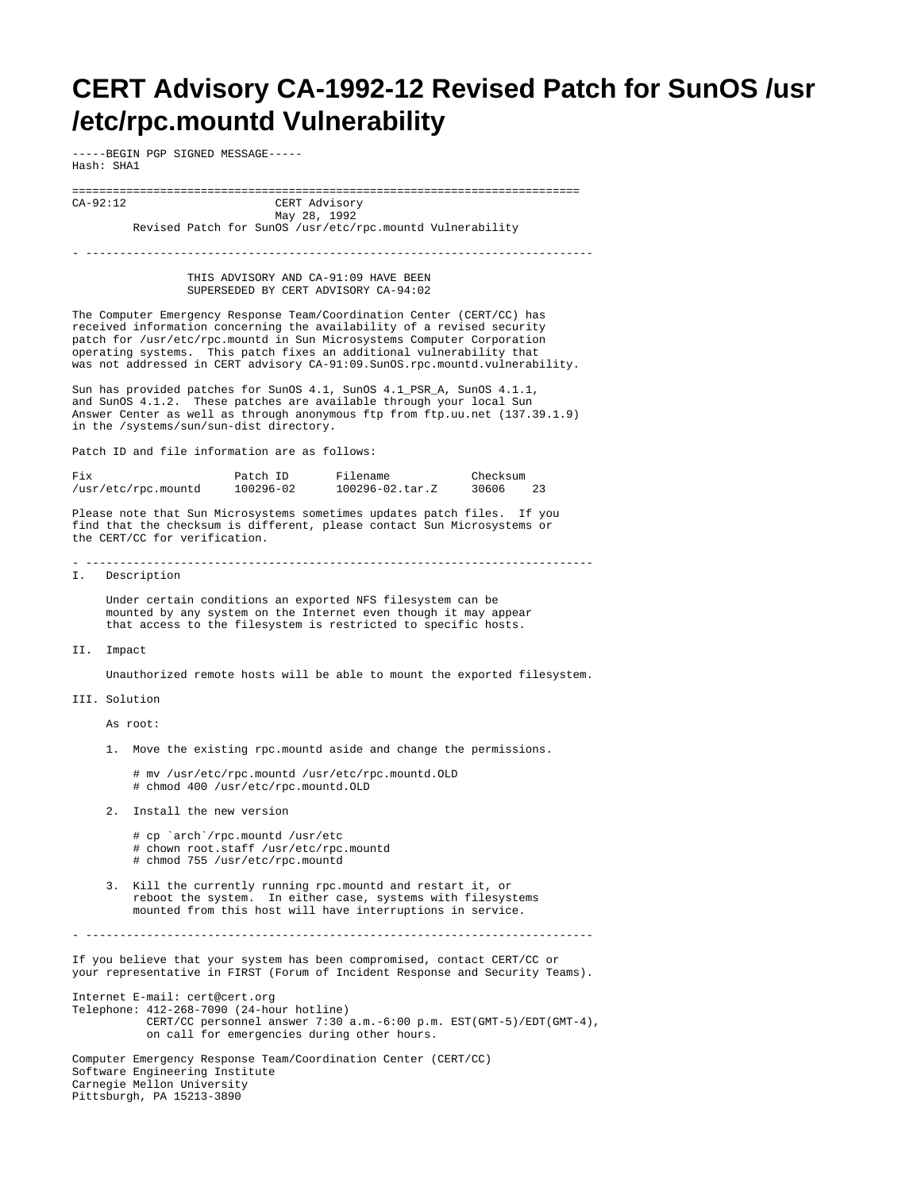## **CERT Advisory CA-1992-12 Revised Patch for SunOS /usr /etc/rpc.mountd Vulnerability**

-----BEGIN PGP SIGNED MESSAGE----- Hash: SHA1

=========================================================================== CERT Advisory May 28, 1992

Revised Patch for SunOS /usr/etc/rpc.mountd Vulnerability

- ---------------------------------------------------------------------------

 THIS ADVISORY AND CA-91:09 HAVE BEEN SUPERSEDED BY CERT ADVISORY CA-94:02

The Computer Emergency Response Team/Coordination Center (CERT/CC) has received information concerning the availability of a revised security patch for /usr/etc/rpc.mountd in Sun Microsystems Computer Corporation operating systems. This patch fixes an additional vulnerability that was not addressed in CERT advisory CA-91:09. SunOS.rpc.mountd.vulnerability.

Sun has provided patches for SunOS 4.1, SunOS 4.1\_PSR\_A, SunOS 4.1.1, and SunOS  $4.1.2$ . These patches are available through your local Sun Answer Center as well as through anonymous ftp from ftp.uu.net (137.39.1.9) in the /systems/sun/sun-dist directory.

Patch ID and file information are as follows:

| Fix                 | Patch ID  | Filename              | Checksum |  |
|---------------------|-----------|-----------------------|----------|--|
| /usr/etc/rpc.mountd | 100296-02 | $100296 - 02.txtar.Z$ | 30606    |  |

Please note that Sun Microsystems sometimes updates patch files. If you find that the checksum is different, please contact Sun Microsystems or the CERT/CC for verification.

I. Description

 Under certain conditions an exported NFS filesystem can be mounted by any system on the Internet even though it may appear that access to the filesystem is restricted to specific hosts.

II. Impact

Unauthorized remote hosts will be able to mount the exported filesystem.

III. Solution

As root:

1. Move the existing rpc.mountd aside and change the permissions.

 # mv /usr/etc/rpc.mountd /usr/etc/rpc.mountd.OLD # chmod 400 /usr/etc/rpc.mountd.OLD

- 2. Install the new version
	- # cp `arch`/rpc.mountd /usr/etc # chown root.staff /usr/etc/rpc.mountd
	- # chmod 755 /usr/etc/rpc.mountd
- 3. Kill the currently running rpc.mountd and restart it, or reboot the system. In either case, systems with filesystems mounted from this host will have interruptions in service.

- ---------------------------------------------------------------------------

If you believe that your system has been compromised, contact CERT/CC or your representative in FIRST (Forum of Incident Response and Security Teams).

Internet E-mail: cert@cert.org Telephone: 412-268-7090 (24-hour hotline) CERT/CC personnel answer 7:30 a.m.-6:00 p.m. EST(GMT-5)/EDT(GMT-4), on call for emergencies during other hours. Computer Emergency Response Team/Coordination Center (CERT/CC) Software Engineering Institute

Carnegie Mellon University

Pittsburgh, PA 15213-3890